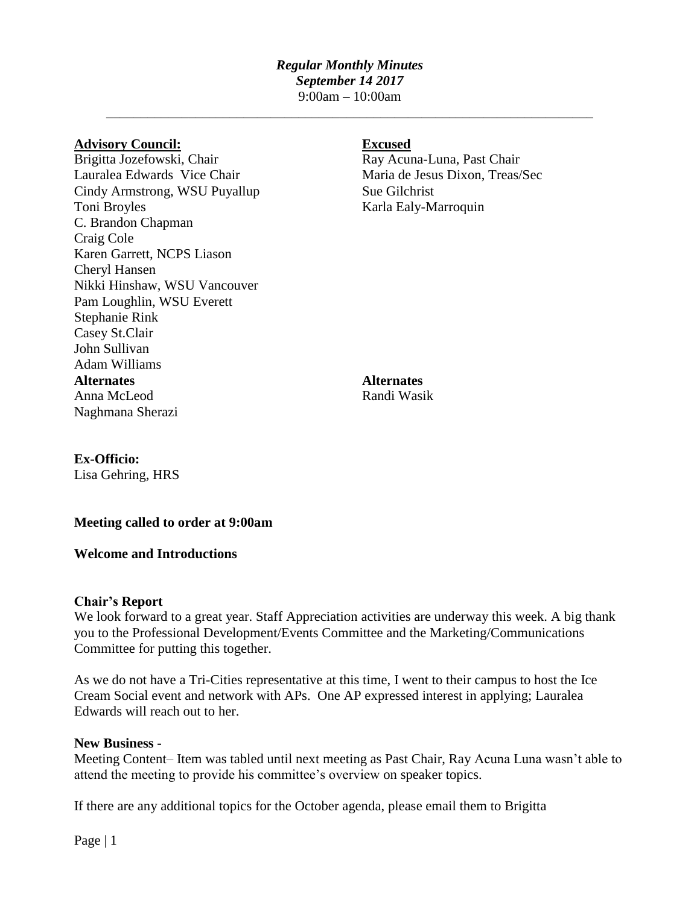## *Regular Monthly Minutes September 14 2017* 9:00am – 10:00am

\_\_\_\_\_\_\_\_\_\_\_\_\_\_\_\_\_\_\_\_\_\_\_\_\_\_\_\_\_\_\_\_\_\_\_\_\_\_\_\_\_\_\_\_\_\_\_\_\_\_\_\_\_\_\_\_\_\_\_\_\_\_\_\_\_\_\_\_\_\_\_

### **Advisory Council: Excused**

Brigitta Jozefowski, Chair Ray Acuna-Luna, Past Chair Lauralea Edwards Vice Chair Maria de Jesus Dixon, Treas/Sec Cindy Armstrong, WSU Puyallup Sue Gilchrist Toni Broyles Karla Ealy-Marroquin C. Brandon Chapman Craig Cole Karen Garrett, NCPS Liason Cheryl Hansen Nikki Hinshaw, WSU Vancouver Pam Loughlin, WSU Everett Stephanie Rink Casey St.Clair John Sullivan Adam Williams **Alternates Alternates** Anna McLeod Randi Wasik Naghmana Sherazi

## **Ex-Officio:**

Lisa Gehring, HRS

## **Meeting called to order at 9:00am**

**Welcome and Introductions**

#### **Chair's Report**

We look forward to a great year. Staff Appreciation activities are underway this week. A big thank you to the Professional Development/Events Committee and the Marketing/Communications Committee for putting this together.

As we do not have a Tri-Cities representative at this time, I went to their campus to host the Ice Cream Social event and network with APs. One AP expressed interest in applying; Lauralea Edwards will reach out to her.

#### **New Business -**

Meeting Content– Item was tabled until next meeting as Past Chair, Ray Acuna Luna wasn't able to attend the meeting to provide his committee's overview on speaker topics.

If there are any additional topics for the October agenda, please email them to Brigitta